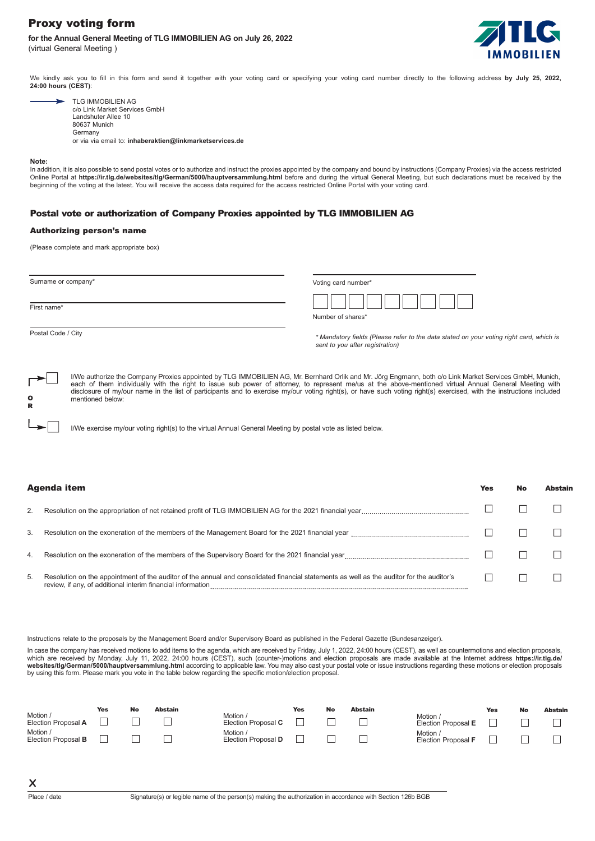# Proxy voting form

## **for the Annual General Meeting of TLG IMMOBILIEN AG on July 26, 2022**  (virtual General Meeting )



Yes No Abstain

We kindly ask you to fill in this form and send it together with your voting card or specifying your voting card number directly to the following address by July 25, 2022, **24:00 hours (CEST)**:

| <b>TLG IMMOBILIEN AG</b>      |
|-------------------------------|
| c/o Link Market Services GmbH |
| Landshuter Allee 10           |
| 80637 Munich                  |
| Germany                       |
|                               |

or via via email to: **inhaberaktien@linkmarketservices.de**

#### **Note:**

In addition, it is also possible to send postal votes or to authorize and instruct the proxies appointed by the company and bound by instructions (Company Proxies) via the access restricted<br>Online Portal at **https://ir.tlg** 

## Postal vote or authorization of Company Proxies appointed by TLG IMMOBILIEN AG

## Authorizing person's name

(Please complete and mark appropriate box)

| Surname or company* |                  | Voting card number*                                                                                                                                                                                                                                                                                                                                                                                                                                                                       |  |  |  |  |  |
|---------------------|------------------|-------------------------------------------------------------------------------------------------------------------------------------------------------------------------------------------------------------------------------------------------------------------------------------------------------------------------------------------------------------------------------------------------------------------------------------------------------------------------------------------|--|--|--|--|--|
| First name*         |                  | Number of shares*                                                                                                                                                                                                                                                                                                                                                                                                                                                                         |  |  |  |  |  |
| Postal Code / City  |                  | * Mandatory fields (Please refer to the data stated on your voting right card, which is<br>sent to you after registration)                                                                                                                                                                                                                                                                                                                                                                |  |  |  |  |  |
| o                   | mentioned below: | I/We authorize the Company Proxies appointed by TLG IMMOBILIEN AG, Mr. Bernhard Orlik and Mr. Jörg Engmann, both c/o Link Market Services GmbH, Munich,<br>each of them individually with the right to issue sub power of attorney, to represent me/us at the above-mentioned virtual Annual General Meeting with<br>disclosure of my/our name in the list of participants and to exercise my/our voting right(s), or have such voting right(s) exercised, with the instructions included |  |  |  |  |  |

I/We exercise my/our voting right(s) to the virtual Annual General Meeting by postal vote as listed below.

## Agenda item

R

| 3. | Resolution on the exoneration of the members of the Management Board for the 2021 financial year                                          |  |  |
|----|-------------------------------------------------------------------------------------------------------------------------------------------|--|--|
| 4. |                                                                                                                                           |  |  |
| 5. | Resolution on the appointment of the auditor of the annual and consolidated financial statements as well as the auditor for the auditor's |  |  |

Instructions relate to the proposals by the Management Board and/or Supervisory Board as published in the Federal Gazette (Bundesanzeiger).

In case the company has received motions to add items to the agenda, which are received by Friday, July 1, 2022, 24:00 hours (CEST), as well as countermotions and election proposals, which are received by Monday, July 11, 2022, 24:00 hours (CEST), such (counter-)motions and election proposals are made available at the Internet address **https://ir.tlg.de**<br>**websites/tlg/German/5000/hauptversammlung.html** 

| Motion /                        | Yes | <b>No</b> | Abstain | Motion /                      | Yes | No | <b>Abstain</b> |                                      | <b>Yes</b> | No | Abstain |
|---------------------------------|-----|-----------|---------|-------------------------------|-----|----|----------------|--------------------------------------|------------|----|---------|
| Election Proposal A             |     |           |         | Election Proposal C           |     |    |                | Motion<br>Election Proposal E        |            |    |         |
| Motion /<br>Election Proposal B |     |           |         | Motion<br>Election Proposal D |     |    |                | <b>Motion</b><br>Election Proposal F |            |    |         |